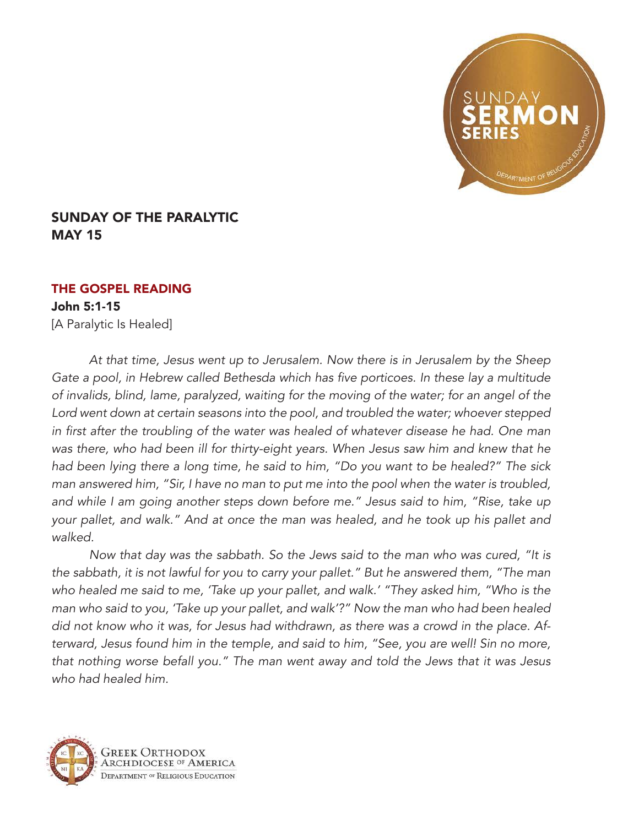

## SUNDAY OF THE PARALYTIC MAY 15

## THE GOSPEL READING

John 5:1-15 [A Paralytic Is Healed]

*At that time, Jesus went up to Jerusalem. Now there is in Jerusalem by the Sheep*  Gate a pool, in Hebrew called Bethesda which has five porticoes. In these lay a multitude of invalids, blind, lame, paralyzed, waiting for the moving of the water; for an angel of the Lord went down at certain seasons into the pool, and troubled the water; whoever stepped in first after the troubling of the water was healed of whatever disease he had. One man was there, who had been ill for thirty-eight years. When Jesus saw him and knew that he had been lying there a long time, he said to him, "Do you want to be healed?" The sick man answered him, "Sir, I have no man to put me into the pool when the water is troubled, and while I am going another steps down before me." Jesus said to him, "Rise, take up your pallet, and walk." And at once the man was healed, and he took up his pallet and walked.

Now that day was the sabbath. So the Jews said to the man who was cured, "It is the sabbath, it is not lawful for you to carry your pallet." But he answered them, "The man who healed me said to me, 'Take up your pallet, and walk.' "They asked him, "Who is the man who said to you, 'Take up your pallet, and walk'?" Now the man who had been healed did not know who it was, for Jesus had withdrawn, as there was a crowd in the place. Afterward, Jesus found him in the temple, and said to him, "See, you are well! Sin no more, that nothing worse befall you." The man went away and told the Jews that it was Jesus *who had healed him.*

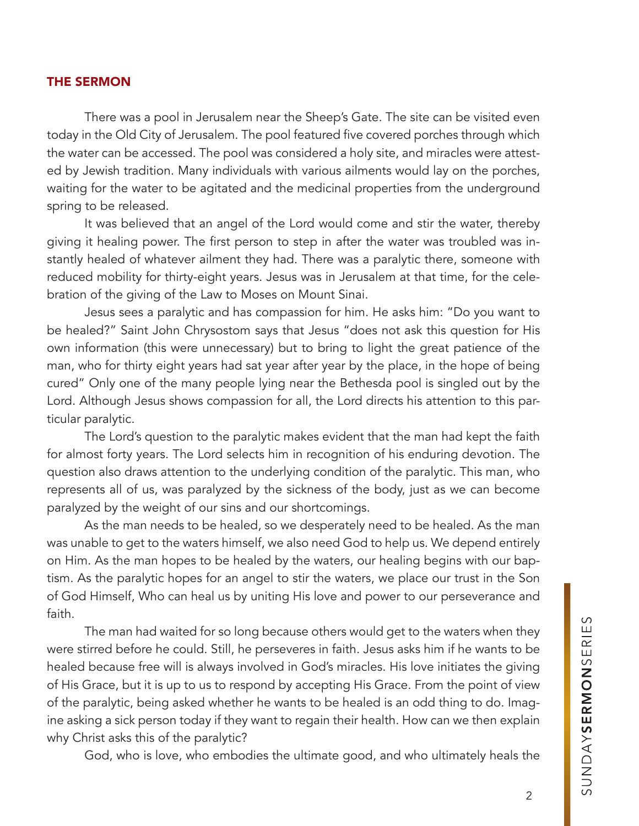## THE SERMON

There was a pool in Jerusalem near the Sheep's Gate. The site can be visited even today in the Old City of Jerusalem. The pool featured five covered porches through which the water can be accessed. The pool was considered a holy site, and miracles were attested by Jewish tradition. Many individuals with various ailments would lay on the porches, waiting for the water to be agitated and the medicinal properties from the underground spring to be released.

It was believed that an angel of the Lord would come and stir the water, thereby giving it healing power. The first person to step in after the water was troubled was instantly healed of whatever ailment they had. There was a paralytic there, someone with reduced mobility for thirty-eight years. Jesus was in Jerusalem at that time, for the celebration of the giving of the Law to Moses on Mount Sinai.

Jesus sees a paralytic and has compassion for him. He asks him: "Do you want to be healed?" Saint John Chrysostom says that Jesus "does not ask this question for His own information (this were unnecessary) but to bring to light the great patience of the man, who for thirty eight years had sat year after year by the place, in the hope of being cured" Only one of the many people lying near the Bethesda pool is singled out by the Lord. Although Jesus shows compassion for all, the Lord directs his attention to this particular paralytic.

The Lord's question to the paralytic makes evident that the man had kept the faith for almost forty years. The Lord selects him in recognition of his enduring devotion. The question also draws attention to the underlying condition of the paralytic. This man, who represents all of us, was paralyzed by the sickness of the body, just as we can become paralyzed by the weight of our sins and our shortcomings.

As the man needs to be healed, so we desperately need to be healed. As the man was unable to get to the waters himself, we also need God to help us. We depend entirely on Him. As the man hopes to be healed by the waters, our healing begins with our baptism. As the paralytic hopes for an angel to stir the waters, we place our trust in the Son of God Himself, Who can heal us by uniting His love and power to our perseverance and faith.

The man had waited for so long because others would get to the waters when they were stirred before he could. Still, he perseveres in faith. Jesus asks him if he wants to be healed because free will is always involved in God's miracles. His love initiates the giving of His Grace, but it is up to us to respond by accepting His Grace. From the point of view of the paralytic, being asked whether he wants to be healed is an odd thing to do. Imagine asking a sick person today if they want to regain their health. How can we then explain why Christ asks this of the paralytic?

God, who is love, who embodies the ultimate good, and who ultimately heals the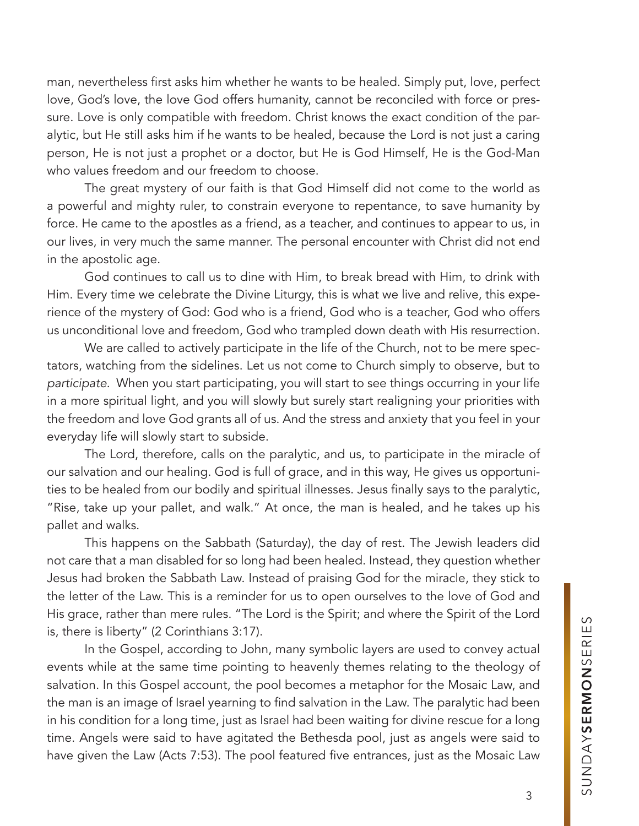man, nevertheless first asks him whether he wants to be healed. Simply put, love, perfect love, God's love, the love God offers humanity, cannot be reconciled with force or pressure. Love is only compatible with freedom. Christ knows the exact condition of the paralytic, but He still asks him if he wants to be healed, because the Lord is not just a caring person, He is not just a prophet or a doctor, but He is God Himself, He is the God-Man who values freedom and our freedom to choose.

The great mystery of our faith is that God Himself did not come to the world as a powerful and mighty ruler, to constrain everyone to repentance, to save humanity by force. He came to the apostles as a friend, as a teacher, and continues to appear to us, in our lives, in very much the same manner. The personal encounter with Christ did not end in the apostolic age.

God continues to call us to dine with Him, to break bread with Him, to drink with Him. Every time we celebrate the Divine Liturgy, this is what we live and relive, this experience of the mystery of God: God who is a friend, God who is a teacher, God who offers us unconditional love and freedom, God who trampled down death with His resurrection.

We are called to actively participate in the life of the Church, not to be mere spectators, watching from the sidelines. Let us not come to Church simply to observe, but to *participate*. When you start participating, you will start to see things occurring in your life in a more spiritual light, and you will slowly but surely start realigning your priorities with the freedom and love God grants all of us. And the stress and anxiety that you feel in your everyday life will slowly start to subside.

The Lord, therefore, calls on the paralytic, and us, to participate in the miracle of our salvation and our healing. God is full of grace, and in this way, He gives us opportunities to be healed from our bodily and spiritual illnesses. Jesus finally says to the paralytic, "Rise, take up your pallet, and walk." At once, the man is healed, and he takes up his pallet and walks.

This happens on the Sabbath (Saturday), the day of rest. The Jewish leaders did not care that a man disabled for so long had been healed. Instead, they question whether Jesus had broken the Sabbath Law. Instead of praising God for the miracle, they stick to the letter of the Law. This is a reminder for us to open ourselves to the love of God and His grace, rather than mere rules. "The Lord is the Spirit; and where the Spirit of the Lord is, there is liberty" (2 Corinthians 3:17).

In the Gospel, according to John, many symbolic layers are used to convey actual events while at the same time pointing to heavenly themes relating to the theology of salvation. In this Gospel account, the pool becomes a metaphor for the Mosaic Law, and the man is an image of Israel yearning to find salvation in the Law. The paralytic had been in his condition for a long time, just as Israel had been waiting for divine rescue for a long time. Angels were said to have agitated the Bethesda pool, just as angels were said to have given the Law (Acts 7:53). The pool featured five entrances, just as the Mosaic Law